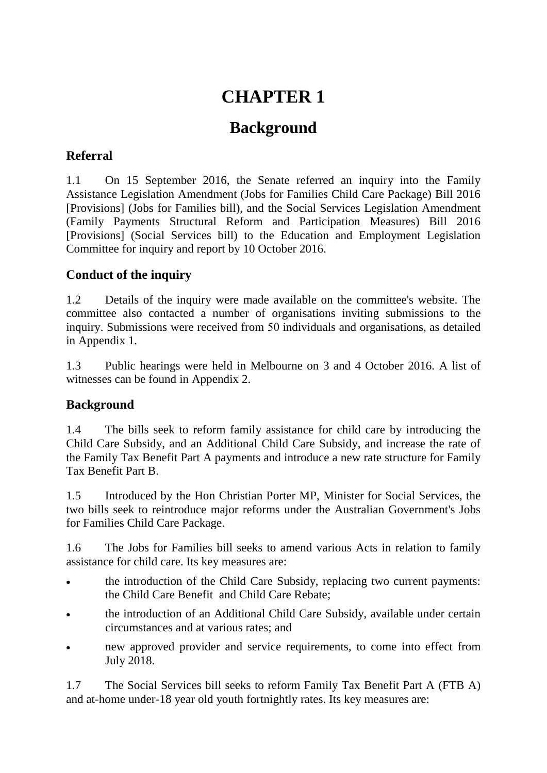# **CHAPTER 1**

## **Background**

## **Referral**

1.1 On 15 September 2016, the Senate referred an inquiry into the Family Assistance Legislation Amendment (Jobs for Families Child Care Package) Bill 2016 [Provisions] (Jobs for Families bill), and the Social Services Legislation Amendment (Family Payments Structural Reform and Participation Measures) Bill 2016 [Provisions] (Social Services bill) to the Education and Employment Legislation Committee for inquiry and report by 10 October 2016.

## **Conduct of the inquiry**

1.2 Details of the inquiry were made available on the committee's website. The committee also contacted a number of organisations inviting submissions to the inquiry. Submissions were received from 50 individuals and organisations, as detailed in Appendix 1.

1.3 Public hearings were held in Melbourne on 3 and 4 October 2016. A list of witnesses can be found in Appendix 2.

## **Background**

1.4 The bills seek to reform family assistance for child care by introducing the Child Care Subsidy, and an Additional Child Care Subsidy, and increase the rate of the Family Tax Benefit Part A payments and introduce a new rate structure for Family Tax Benefit Part B.

1.5 Introduced by the Hon Christian Porter MP, Minister for Social Services, the two bills seek to reintroduce major reforms under the Australian Government's Jobs for Families Child Care Package.

1.6 The Jobs for Families bill seeks to amend various Acts in relation to family assistance for child care. Its key measures are:

- the introduction of the Child Care Subsidy, replacing two current payments: the Child Care Benefit and Child Care Rebate;
- the introduction of an Additional Child Care Subsidy, available under certain circumstances and at various rates; and
- new approved provider and service requirements, to come into effect from July 2018.

1.7 The Social Services bill seeks to reform Family Tax Benefit Part A (FTB A) and at-home under-18 year old youth fortnightly rates. Its key measures are: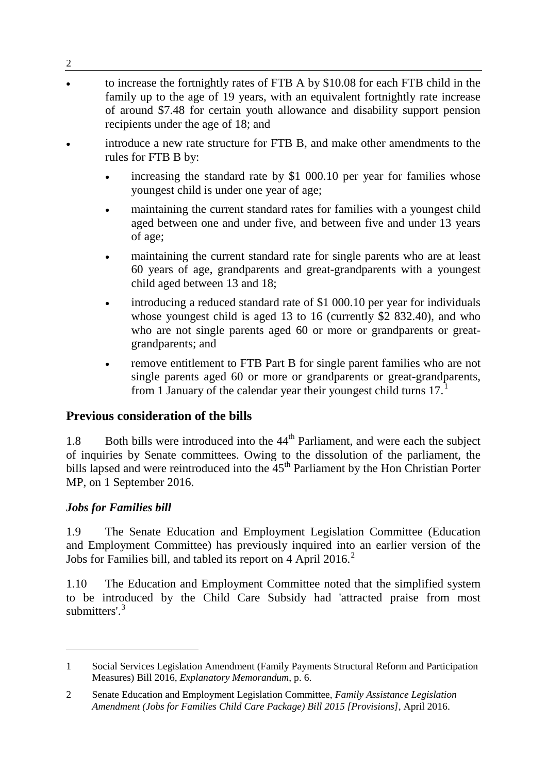- to increase the fortnightly rates of FTB A by \$10.08 for each FTB child in the family up to the age of 19 years, with an equivalent fortnightly rate increase of around \$7.48 for certain youth allowance and disability support pension recipients under the age of 18; and
- introduce a new rate structure for FTB B, and make other amendments to the rules for FTB B by:
	- increasing the standard rate by \$1 000.10 per year for families whose youngest child is under one year of age;
	- maintaining the current standard rates for families with a youngest child aged between one and under five, and between five and under 13 years of age;
	- maintaining the current standard rate for single parents who are at least 60 years of age, grandparents and great-grandparents with a youngest child aged between 13 and 18;
	- introducing a reduced standard rate of \$1 000.10 per year for individuals whose youngest child is aged 13 to 16 (currently \$2 832.40), and who who are not single parents aged 60 or more or grandparents or greatgrandparents; and
	- remove entitlement to FTB Part B for single parent families who are not single parents aged 60 or more or grandparents or great-grandparents, from [1](#page-1-0) January of the calendar year their youngest child turns  $17<sup>1</sup>$

#### **Previous consideration of the bills**

1.8 Both bills were introduced into the  $44<sup>th</sup>$  Parliament, and were each the subject of inquiries by Senate committees. Owing to the dissolution of the parliament, the bills lapsed and were reintroduced into the  $45<sup>th</sup>$  Parliament by the Hon Christian Porter MP, on 1 September 2016.

#### *Jobs for Families bill*

-

2

1.9 The Senate Education and Employment Legislation Committee (Education and Employment Committee) has previously inquired into an earlier version of the Jobs for Families bill, and tabled its report on 4 April [2](#page-1-1)016. $2$ 

<span id="page-1-2"></span>1.10 The Education and Employment Committee noted that the simplified system to be introduced by the Child Care Subsidy had 'attracted praise from most submitters'<sup>[3](#page-1-2)</sup>

<span id="page-1-0"></span><sup>1</sup> Social Services Legislation Amendment (Family Payments Structural Reform and Participation Measures) Bill 2016, *Explanatory Memorandum*, p. 6.

<span id="page-1-1"></span><sup>2</sup> Senate Education and Employment Legislation Committee, *Family Assistance Legislation Amendment (Jobs for Families Child Care Package) Bill 2015 [Provisions]*, April 2016.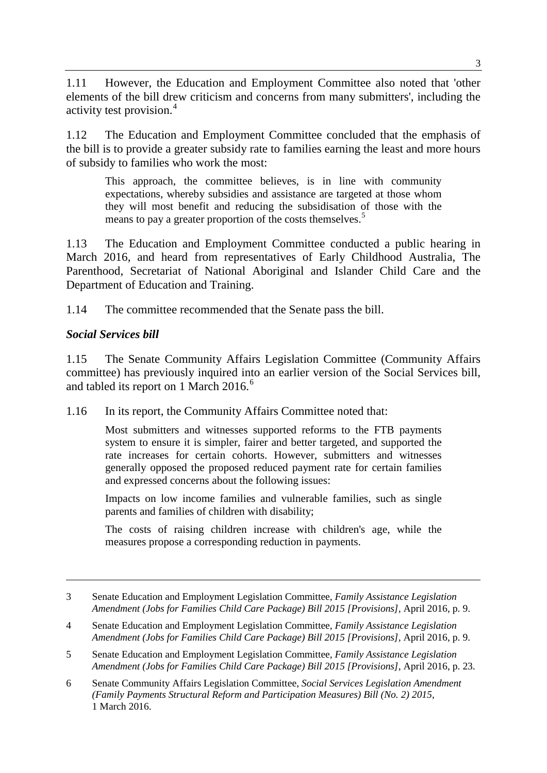1.11 However, the Education and Employment Committee also noted that 'other elements of the bill drew criticism and concerns from many submitters', including the activity test provision.<sup>[4](#page-2-0)</sup>

1.12 The Education and Employment Committee concluded that the emphasis of the bill is to provide a greater subsidy rate to families earning the least and more hours of subsidy to families who work the most:

This approach, the committee believes, is in line with community expectations, whereby subsidies and assistance are targeted at those whom they will most benefit and reducing the subsidisation of those with the means to pay a greater proportion of the costs themselves.<sup>[5](#page-2-1)</sup>

1.13 The Education and Employment Committee conducted a public hearing in March 2016, and heard from representatives of Early Childhood Australia, The Parenthood, Secretariat of National Aboriginal and Islander Child Care and the Department of Education and Training.

1.14 The committee recommended that the Senate pass the bill.

#### *Social Services bill*

-

1.15 The Senate Community Affairs Legislation Committee (Community Affairs committee) has previously inquired into an earlier version of the Social Services bill, and tabled its report on 1 March 201[6](#page-2-2).<sup>6</sup>

1.16 In its report, the Community Affairs Committee noted that:

Most submitters and witnesses supported reforms to the FTB payments system to ensure it is simpler, fairer and better targeted, and supported the rate increases for certain cohorts. However, submitters and witnesses generally opposed the proposed reduced payment rate for certain families and expressed concerns about the following issues:

Impacts on low income families and vulnerable families, such as single parents and families of children with disability;

The costs of raising children increase with children's age, while the measures propose a corresponding reduction in payments.

<sup>3</sup> Senate Education and Employment Legislation Committee, *Family Assistance Legislation Amendment (Jobs for Families Child Care Package) Bill 2015 [Provisions]*, April 2016, p. 9.

<span id="page-2-0"></span><sup>4</sup> Senate Education and Employment Legislation Committee, *Family Assistance Legislation Amendment (Jobs for Families Child Care Package) Bill 2015 [Provisions]*, April 2016, p. 9.

<span id="page-2-1"></span><sup>5</sup> Senate Education and Employment Legislation Committee, *Family Assistance Legislation Amendment (Jobs for Families Child Care Package) Bill 2015 [Provisions]*, April 2016, p. 23.

<span id="page-2-2"></span><sup>6</sup> Senate Community Affairs Legislation Committee, *Social Services Legislation Amendment (Family Payments Structural Reform and Participation Measures) Bill (No. 2) 2015*, 1 March 2016.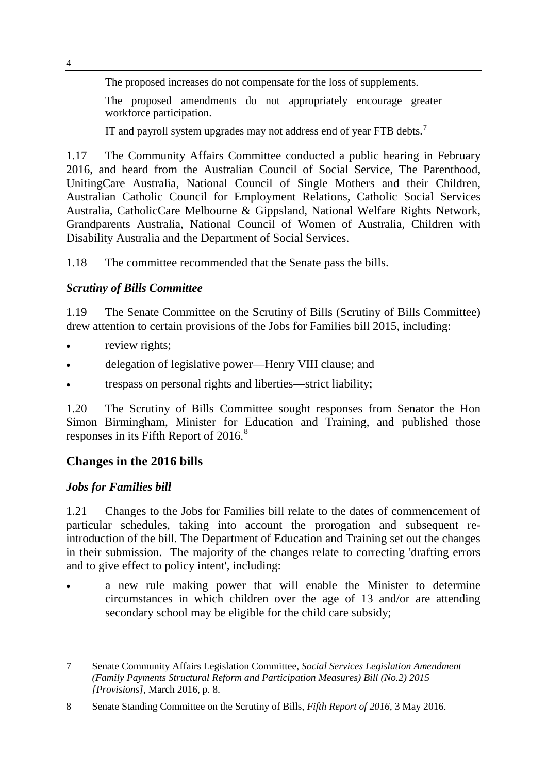The proposed increases do not compensate for the loss of supplements.

The proposed amendments do not appropriately encourage greater workforce participation.

IT and payroll system upgrades may not address end of year FTB debts.<sup>[7](#page-3-0)</sup>

1.17 The Community Affairs Committee conducted a public hearing in February 2016, and heard from the Australian Council of Social Service, The Parenthood, UnitingCare Australia, National Council of Single Mothers and their Children, Australian Catholic Council for Employment Relations, Catholic Social Services Australia, CatholicCare Melbourne & Gippsland, National Welfare Rights Network, Grandparents Australia, National Council of Women of Australia, Children with Disability Australia and the Department of Social Services.

1.18 The committee recommended that the Senate pass the bills.

## *Scrutiny of Bills Committee*

1.19 The Senate Committee on the Scrutiny of Bills (Scrutiny of Bills Committee) drew attention to certain provisions of the Jobs for Families bill 2015, including:

- review rights;
- delegation of legislative power—Henry VIII clause; and
- trespass on personal rights and liberties—strict liability;

1.20 The Scrutiny of Bills Committee sought responses from Senator the Hon Simon Birmingham, Minister for Education and Training, and published those responses in its Fifth Report of 2016.<sup>[8](#page-3-1)</sup>

## **Changes in the 2016 bills**

## *Jobs for Families bill*

-

1.21 Changes to the Jobs for Families bill relate to the dates of commencement of particular schedules, taking into account the prorogation and subsequent reintroduction of the bill. The Department of Education and Training set out the changes in their submission. The majority of the changes relate to correcting 'drafting errors and to give effect to policy intent', including:

a new rule making power that will enable the Minister to determine circumstances in which children over the age of 13 and/or are attending secondary school may be eligible for the child care subsidy;

<span id="page-3-0"></span><sup>7</sup> Senate Community Affairs Legislation Committee, *Social Services Legislation Amendment (Family Payments Structural Reform and Participation Measures) Bill (No.2) 2015 [Provisions]*, March 2016, p. 8.

<span id="page-3-1"></span><sup>8</sup> Senate Standing Committee on the Scrutiny of Bills, *Fifth Report of 2016*, 3 May 2016.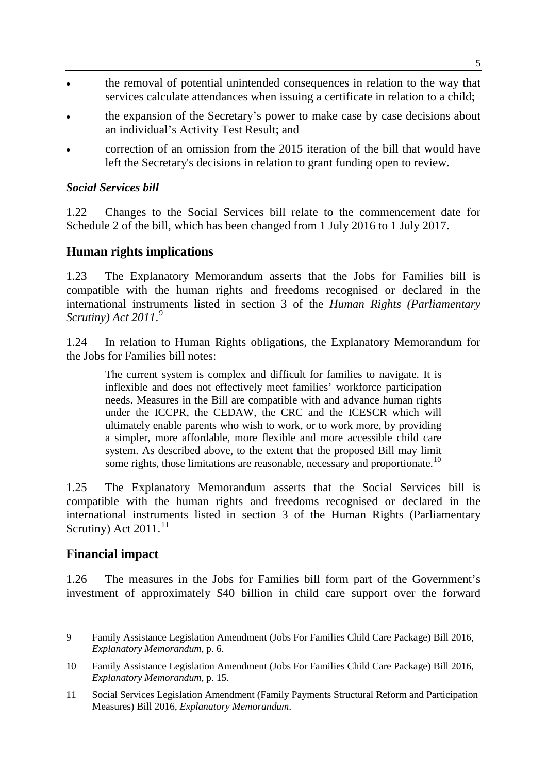- the removal of potential unintended consequences in relation to the way that services calculate attendances when issuing a certificate in relation to a child;
- the expansion of the Secretary's power to make case by case decisions about an individual's Activity Test Result; and
- correction of an omission from the 2015 iteration of the bill that would have left the Secretary's decisions in relation to grant funding open to review.

#### *Social Services bill*

1.22 Changes to the Social Services bill relate to the commencement date for Schedule 2 of the bill, which has been changed from 1 July 2016 to 1 July 2017.

#### **Human rights implications**

1.23 The Explanatory Memorandum asserts that the Jobs for Families bill is compatible with the human rights and freedoms recognised or declared in the international instruments listed in section 3 of the *Human Rights (Parliamentary Scrutiny) Act 2011*. [9](#page-4-0)

1.24 In relation to Human Rights obligations, the Explanatory Memorandum for the Jobs for Families bill notes:

The current system is complex and difficult for families to navigate. It is inflexible and does not effectively meet families' workforce participation needs. Measures in the Bill are compatible with and advance human rights under the ICCPR, the CEDAW, the CRC and the ICESCR which will ultimately enable parents who wish to work, or to work more, by providing a simpler, more affordable, more flexible and more accessible child care system. As described above, to the extent that the proposed Bill may limit some rights, those limitations are reasonable, necessary and proportionate.<sup>[10](#page-4-1)</sup>

1.25 The Explanatory Memorandum asserts that the Social Services bill is compatible with the human rights and freedoms recognised or declared in the international instruments listed in section 3 of the Human Rights (Parliamentary Scrutiny) Act  $2011$  $2011$ .<sup>11</sup>

#### **Financial impact**

-

1.26 The measures in the Jobs for Families bill form part of the Government's investment of approximately \$40 billion in child care support over the forward

<span id="page-4-0"></span><sup>9</sup> Family Assistance Legislation Amendment (Jobs For Families Child Care Package) Bill 2016, *Explanatory Memorandum*, p. 6.

<span id="page-4-1"></span><sup>10</sup> Family Assistance Legislation Amendment (Jobs For Families Child Care Package) Bill 2016, *Explanatory Memorandum*, p. 15.

<span id="page-4-2"></span><sup>11</sup> Social Services Legislation Amendment (Family Payments Structural Reform and Participation Measures) Bill 2016, *Explanatory Memorandum*.